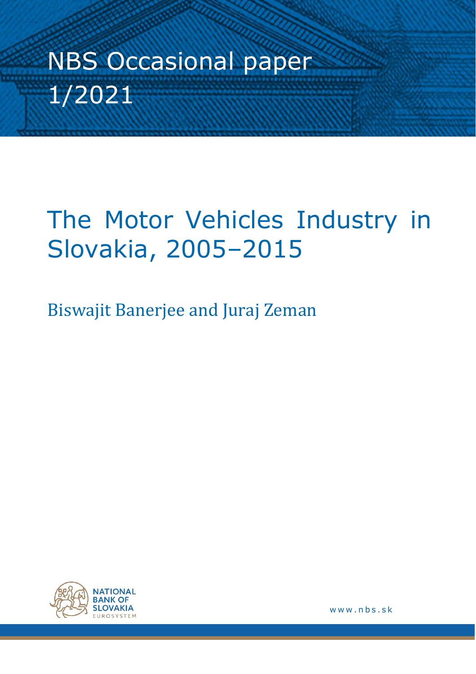# NBS Occasional paper 1/2021

## The Motor Vehicles Industry in Slovakia, 2005–2015

Biswajit Banerjee and Juraj Zeman



www.nbs.sk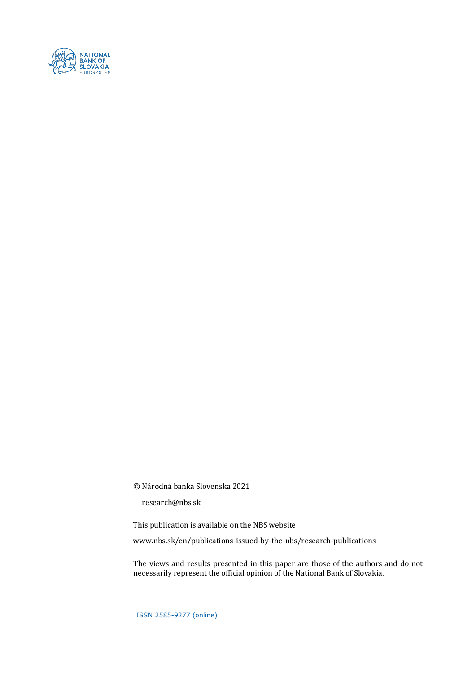

© Národná banka Slovenska 2021

research@nbs.sk

This publication is available on the NBS website

www.nbs.sk/en/publications-issued-by-the-nbs/research-publications

The views and results presented in this paper are those of the authors and do not necessarily represent the official opinion of the National Bank of Slovakia.

ISSN 2585-9277 (online)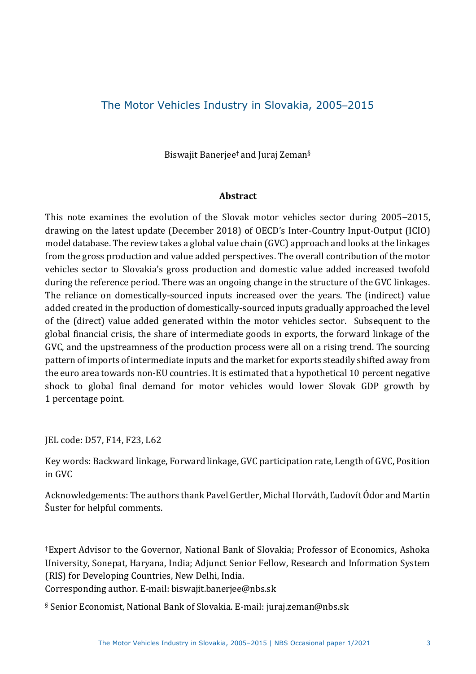## The Motor Vehicles Industry in Slovakia, 2005–2015

Biswajit Banerjee† and Juraj Zeman§

#### **Abstract**

This note examines the evolution of the Slovak motor vehicles sector during 2005–2015, drawing on the latest update (December 2018) of OECD's Inter-Country Input-Output (ICIO) model database. The review takes a global value chain (GVC) approach and looks at the linkages from the gross production and value added perspectives. The overall contribution of the motor vehicles sector to Slovakia's gross production and domestic value added increased twofold during the reference period. There was an ongoing change in the structure of the GVC linkages. The reliance on domestically-sourced inputs increased over the years. The (indirect) value added created in the production of domestically-sourced inputs gradually approached the level of the (direct) value added generated within the motor vehicles sector. Subsequent to the global financial crisis, the share of intermediate goods in exports, the forward linkage of the GVC, and the upstreamness of the production process were all on a rising trend. The sourcing pattern of imports of intermediate inputs and the market for exports steadily shifted away from the euro area towards non-EU countries. It is estimated that a hypothetical 10 percent negative shock to global final demand for motor vehicles would lower Slovak GDP growth by 1 percentage point.

JEL code: D57, F14, F23, L62

Key words: Backward linkage, Forward linkage, GVC participation rate, Length of GVC, Position in GVC

Acknowledgements: The authors thank Pavel Gertler, Michal Horváth, Ľudovít Ódor and Martin Šuster for helpful comments.

†Expert Advisor to the Governor, National Bank of Slovakia; Professor of Economics, Ashoka University, Sonepat, Haryana, India; Adjunct Senior Fellow, Research and Information System (RIS) for Developing Countries, New Delhi, India.

Corresponding author. E-mail[: biswajit.banerjee@nbs.sk](about:blank)

§ Senior Economist, National Bank of Slovakia. E-mail: [juraj.zeman@nbs.sk](about:blank)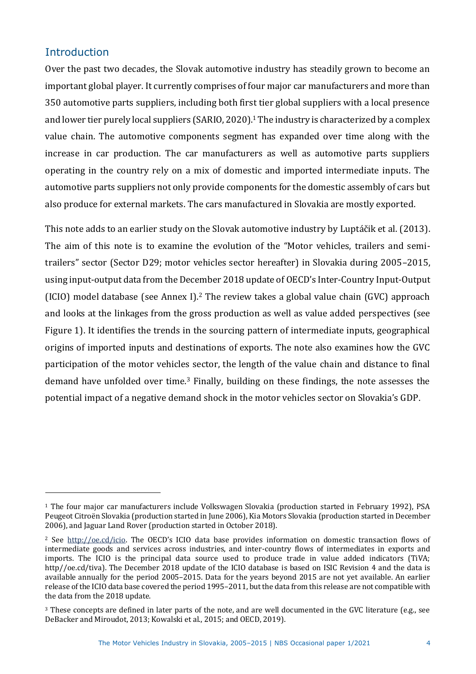## **Introduction**

Over the past two decades, the Slovak automotive industry has steadily grown to become an important global player. It currently comprises of four major car manufacturers and more than 350 automotive parts suppliers, including both first tier global suppliers with a local presence and lower tier purely local suppliers (SARIO, 2020).<sup>1</sup> The industry is characterized by a complex value chain. The automotive components segment has expanded over time along with the increase in car production. The car manufacturers as well as automotive parts suppliers operating in the country rely on a mix of domestic and imported intermediate inputs. The automotive parts suppliers not only provide components for the domestic assembly of cars but also produce for external markets. The cars manufactured in Slovakia are mostly exported.

This note adds to an earlier study on the Slovak automotive industry by Luptáčik et al. (2013). The aim of this note is to examine the evolution of the "Motor vehicles, trailers and semitrailers" sector (Sector D29; motor vehicles sector hereafter) in Slovakia during 2005–2015, using input-output data from the December 2018 update of OECD's Inter-Country Input-Output (ICIO) model database (see Annex I).<sup>2</sup> The review takes a global value chain (GVC) approach and looks at the linkages from the gross production as well as value added perspectives (see [Figure 1\)](#page-4-0). It identifies the trends in the sourcing pattern of intermediate inputs, geographical origins of imported inputs and destinations of exports. The note also examines how the GVC participation of the motor vehicles sector, the length of the value chain and distance to final demand have unfolded over time.<sup>3</sup> Finally, building on these findings, the note assesses the potential impact of a negative demand shock in the motor vehicles sector on Slovakia's GDP.

<sup>1</sup> The four major car manufacturers include Volkswagen Slovakia (production started in February 1992), PSA Peugeot Citroën Slovakia (production started in June 2006), Kia Motors Slovakia (production started in December 2006), and Jaguar Land Rover (production started in October 2018).

<sup>2</sup> See [http://oe.cd/icio](about:blank). The OECD's ICIO data base provides information on domestic transaction flows of intermediate goods and services across industries, and inter-country flows of intermediates in exports and imports. The ICIO is the principal data source used to produce trade in value added indicators (TiVA; http//oe.cd/tiva). The December 2018 update of the ICIO database is based on ISIC Revision 4 and the data is available annually for the period 2005–2015. Data for the years beyond 2015 are not yet available. An earlier release of the ICIO data base covered the period 1995–2011, but the data from this release are not compatible with the data from the 2018 update.

<sup>&</sup>lt;sup>3</sup> These concepts are defined in later parts of the note, and are well documented in the GVC literature (e.g., see DeBacker and Miroudot, 2013; Kowalski et al., 2015; and OECD, 2019).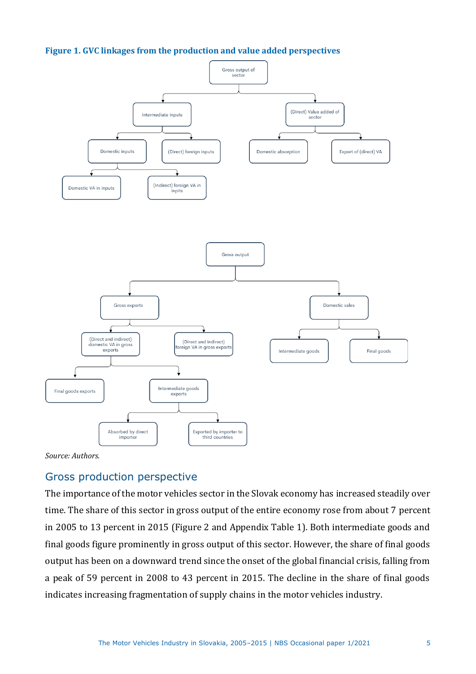<span id="page-4-0"></span>



*Source: Authors.*

## Gross production perspective

The importance of the motor vehicles sector in the Slovak economy has increased steadily over time. The share of this sector in gross output of the entire economy rose from about 7 percent in 2005 to 13 percent in 2015 (Figure 2 and Appendix Table 1). Both intermediate goods and final goods figure prominently in gross output of this sector. However, the share of final goods output has been on a downward trend since the onset of the global financial crisis, falling from a peak of 59 percent in 2008 to 43 percent in 2015. The decline in the share of final goods indicates increasing fragmentation of supply chains in the motor vehicles industry.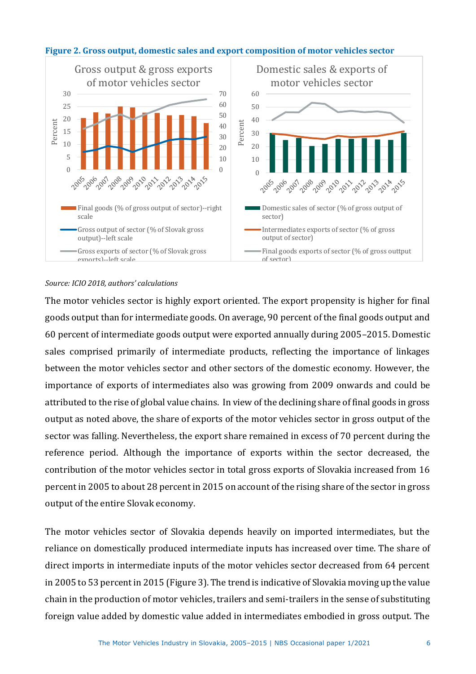

#### **Figure 2. Gross output, domestic sales and export composition of motor vehicles sector**

#### *Source: ICIO 2018, authors' calculations*

The motor vehicles sector is highly export oriented. The export propensity is higher for final goods output than for intermediate goods. On average, 90 percent of the final goods output and 60 percent of intermediate goods output were exported annually during 2005–2015. Domestic sales comprised primarily of intermediate products, reflecting the importance of linkages between the motor vehicles sector and other sectors of the domestic economy. However, the importance of exports of intermediates also was growing from 2009 onwards and could be attributed to the rise of global value chains. In view of the declining share of final goods in gross output as noted above, the share of exports of the motor vehicles sector in gross output of the sector was falling. Nevertheless, the export share remained in excess of 70 percent during the reference period. Although the importance of exports within the sector decreased, the contribution of the motor vehicles sector in total gross exports of Slovakia increased from 16 percent in 2005 to about 28 percent in 2015 on account of the rising share of the sector in gross output of the entire Slovak economy.

The motor vehicles sector of Slovakia depends heavily on imported intermediates, but the reliance on domestically produced intermediate inputs has increased over time. The share of direct imports in intermediate inputs of the motor vehicles sector decreased from 64 percent in 2005 to 53 percent in 2015 (Figure 3). The trend is indicative of Slovakia moving up the value chain in the production of motor vehicles, trailers and semi-trailers in the sense of substituting foreign value added by domestic value added in intermediates embodied in gross output. The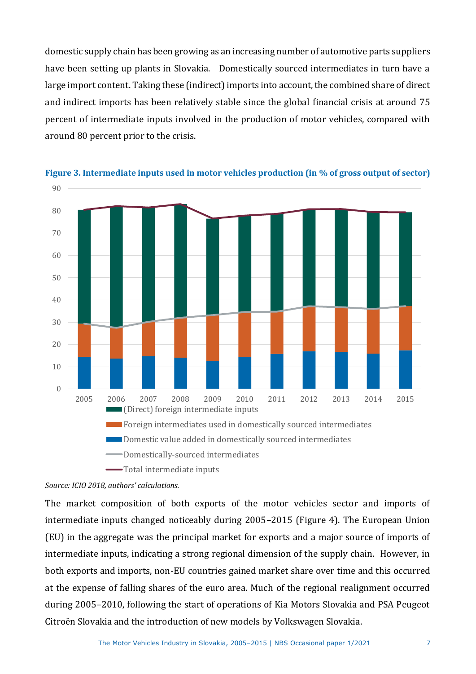domestic supply chain has been growing as an increasing number of automotive parts suppliers have been setting up plants in Slovakia. Domestically sourced intermediates in turn have a large import content. Taking these (indirect) imports into account, the combined share of direct and indirect imports has been relatively stable since the global financial crisis at around 75 percent of intermediate inputs involved in the production of motor vehicles, compared with around 80 percent prior to the crisis.





#### *Source: ICIO 2018, authors' calculations.*

The market composition of both exports of the motor vehicles sector and imports of intermediate inputs changed noticeably during 2005–2015 (Figure 4). The European Union (EU) in the aggregate was the principal market for exports and a major source of imports of intermediate inputs, indicating a strong regional dimension of the supply chain. However, in both exports and imports, non-EU countries gained market share over time and this occurred at the expense of falling shares of the euro area. Much of the regional realignment occurred during 2005–2010, following the start of operations of Kia Motors Slovakia and PSA Peugeot Citroën Slovakia and the introduction of new models by Volkswagen Slovakia.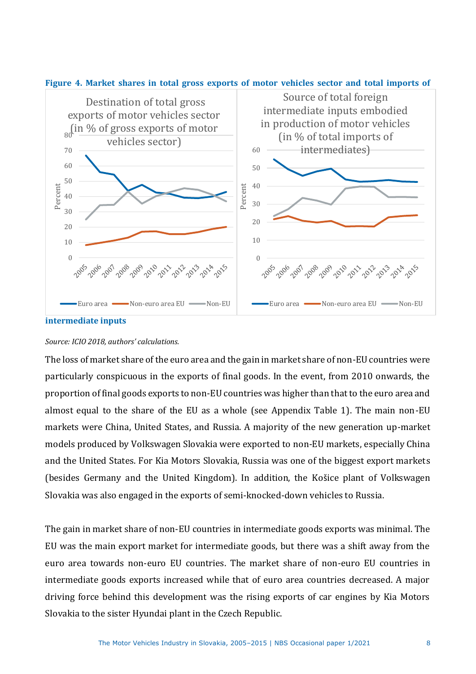

#### **Figure 4. Market shares in total gross exports of motor vehicles sector and total imports of**

#### *Source: ICIO 2018, authors' calculations.*

The loss of market share of the euro area and the gain in market share of non-EU countries were particularly conspicuous in the exports of final goods. In the event, from 2010 onwards, the proportion of final goods exports to non-EU countries was higher than that to the euro area and almost equal to the share of the EU as a whole (see Appendix Table 1). The main non-EU markets were China, United States, and Russia. A majority of the new generation up-market models produced by Volkswagen Slovakia were exported to non-EU markets, especially China and the United States. For Kia Motors Slovakia, Russia was one of the biggest export markets (besides Germany and the United Kingdom). In addition, the Košice plant of Volkswagen Slovakia was also engaged in the exports of semi-knocked-down vehicles to Russia.

The gain in market share of non-EU countries in intermediate goods exports was minimal. The EU was the main export market for intermediate goods, but there was a shift away from the euro area towards non-euro EU countries. The market share of non-euro EU countries in intermediate goods exports increased while that of euro area countries decreased. A major driving force behind this development was the rising exports of car engines by Kia Motors Slovakia to the sister Hyundai plant in the Czech Republic.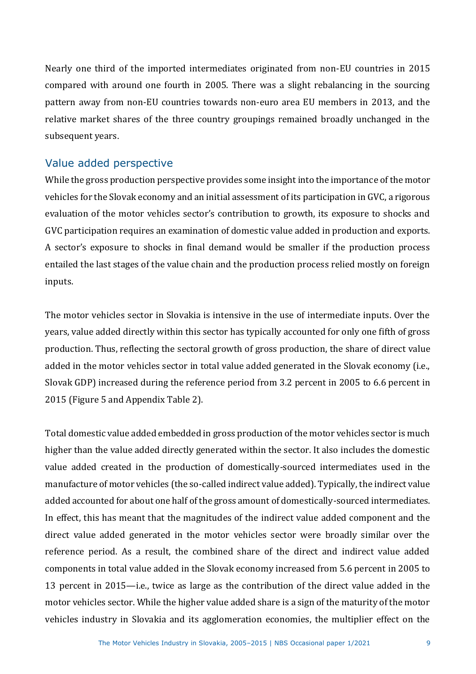Nearly one third of the imported intermediates originated from non-EU countries in 2015 compared with around one fourth in 2005. There was a slight rebalancing in the sourcing pattern away from non-EU countries towards non-euro area EU members in 2013, and the relative market shares of the three country groupings remained broadly unchanged in the subsequent years.

## Value added perspective

While the gross production perspective provides some insight into the importance of the motor vehicles for the Slovak economy and an initial assessment of its participation in GVC, a rigorous evaluation of the motor vehicles sector's contribution to growth, its exposure to shocks and GVC participation requires an examination of domestic value added in production and exports. A sector's exposure to shocks in final demand would be smaller if the production process entailed the last stages of the value chain and the production process relied mostly on foreign inputs.

The motor vehicles sector in Slovakia is intensive in the use of intermediate inputs. Over the years, value added directly within this sector has typically accounted for only one fifth of gross production. Thus, reflecting the sectoral growth of gross production, the share of direct value added in the motor vehicles sector in total value added generated in the Slovak economy (i.e., Slovak GDP) increased during the reference period from 3.2 percent in 2005 to 6.6 percent in 2015 (Figure 5 and Appendix Table 2).

Total domestic value added embedded in gross production of the motor vehicles sector is much higher than the value added directly generated within the sector. It also includes the domestic value added created in the production of domestically-sourced intermediates used in the manufacture of motor vehicles (the so-called indirect value added). Typically, the indirect value added accounted for about one half of the gross amount of domestically-sourced intermediates. In effect, this has meant that the magnitudes of the indirect value added component and the direct value added generated in the motor vehicles sector were broadly similar over the reference period. As a result, the combined share of the direct and indirect value added components in total value added in the Slovak economy increased from 5.6 percent in 2005 to 13 percent in 2015—i.e., twice as large as the contribution of the direct value added in the motor vehicles sector. While the higher value added share is a sign of the maturity of the motor vehicles industry in Slovakia and its agglomeration economies, the multiplier effect on the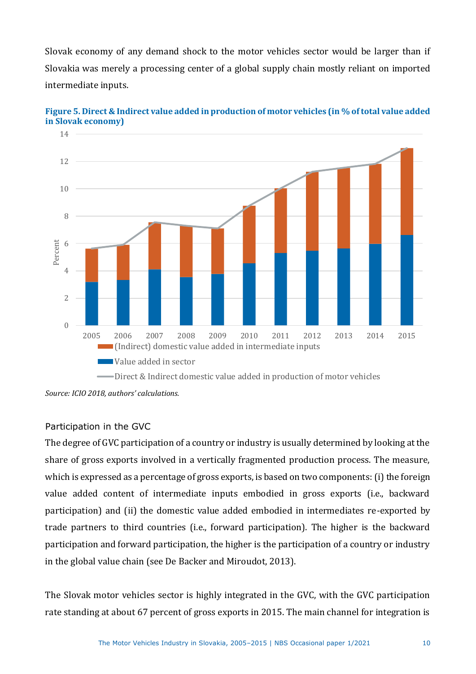Slovak economy of any demand shock to the motor vehicles sector would be larger than if Slovakia was merely a processing center of a global supply chain mostly reliant on imported intermediate inputs.



**Figure 5. Direct & Indirect value added in production of motor vehicles (in % of total value added in Slovak economy)**

## Participation in the GVC

The degree of GVC participation of a country or industry is usually determined by looking at the share of gross exports involved in a vertically fragmented production process. The measure, which is expressed as a percentage of gross exports, is based on two components: (i) the foreign value added content of intermediate inputs embodied in gross exports (i.e., backward participation) and (ii) the domestic value added embodied in intermediates re-exported by trade partners to third countries (i.e., forward participation). The higher is the backward participation and forward participation, the higher is the participation of a country or industry in the global value chain (see De Backer and Miroudot, 2013).

The Slovak motor vehicles sector is highly integrated in the GVC, with the GVC participation rate standing at about 67 percent of gross exports in 2015. The main channel for integration is

*Source: ICIO 2018, authors' calculations.*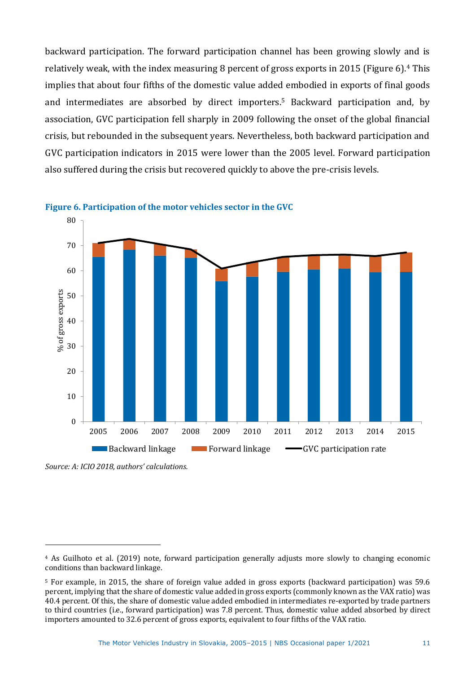backward participation. The forward participation channel has been growing slowly and is relatively weak, with the index measuring 8 percent of gross exports in 2015 (Figure 6).<sup>4</sup> This implies that about four fifths of the domestic value added embodied in exports of final goods and intermediates are absorbed by direct importers.<sup>5</sup> Backward participation and, by association, GVC participation fell sharply in 2009 following the onset of the global financial crisis, but rebounded in the subsequent years. Nevertheless, both backward participation and GVC participation indicators in 2015 were lower than the 2005 level. Forward participation also suffered during the crisis but recovered quickly to above the pre-crisis levels.





*Source: A: ICIO 2018, authors' calculations.*

<sup>4</sup> As Guilhoto et al. (2019) note, forward participation generally adjusts more slowly to changing economic conditions than backward linkage.

<sup>5</sup> For example, in 2015, the share of foreign value added in gross exports (backward participation) was 59.6 percent, implying that the share of domestic value added in gross exports (commonly known as the VAX ratio) was 40.4 percent. Of this, the share of domestic value added embodied in intermediates re-exported by trade partners to third countries (i.e., forward participation) was 7.8 percent. Thus, domestic value added absorbed by direct importers amounted to 32.6 percent of gross exports, equivalent to four fifths of the VAX ratio.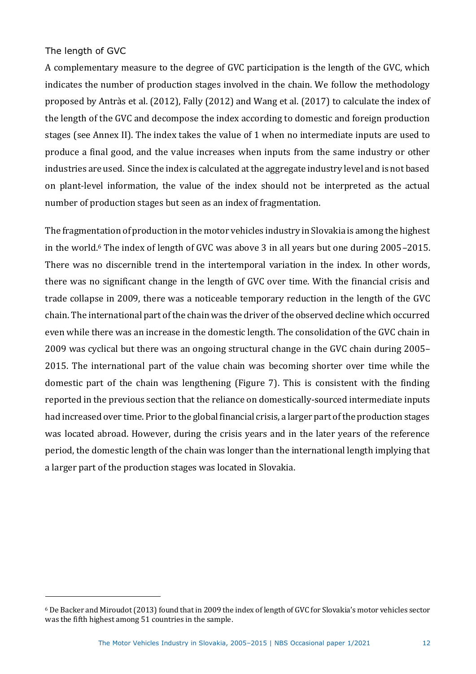#### The length of GVC

A complementary measure to the degree of GVC participation is the length of the GVC, which indicates the number of production stages involved in the chain. We follow the methodology proposed by Antràs et al. (2012), Fally (2012) and Wang et al. (2017) to calculate the index of the length of the GVC and decompose the index according to domestic and foreign production stages (see Annex II). The index takes the value of 1 when no intermediate inputs are used to produce a final good, and the value increases when inputs from the same industry or other industries are used. Since the index is calculated at the aggregate industry level and is not based on plant-level information, the value of the index should not be interpreted as the actual number of production stages but seen as an index of fragmentation.

The fragmentation of production in the motor vehicles industry in Slovakia is among the highest in the world.<sup>6</sup> The index of length of GVC was above 3 in all years but one during 2005–2015. There was no discernible trend in the intertemporal variation in the index. In other words, there was no significant change in the length of GVC over time. With the financial crisis and trade collapse in 2009, there was a noticeable temporary reduction in the length of the GVC chain. The international part of the chain was the driver of the observed decline which occurred even while there was an increase in the domestic length. The consolidation of the GVC chain in 2009 was cyclical but there was an ongoing structural change in the GVC chain during 2005– 2015. The international part of the value chain was becoming shorter over time while the domestic part of the chain was lengthening (Figure 7). This is consistent with the finding reported in the previous section that the reliance on domestically-sourced intermediate inputs had increased over time. Prior to the global financial crisis, a larger part of the production stages was located abroad. However, during the crisis years and in the later years of the reference period, the domestic length of the chain was longer than the international length implying that a larger part of the production stages was located in Slovakia.

<sup>6</sup> De Backer and Miroudot (2013) found that in 2009 the index of length of GVC for Slovakia's motor vehicles sector was the fifth highest among 51 countries in the sample.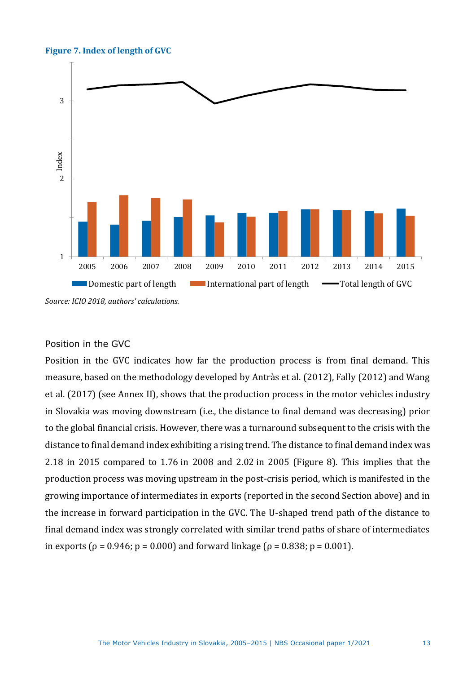#### **Figure 7. Index of length of GVC**



#### Position in the GVC

Position in the GVC indicates how far the production process is from final demand. This measure, based on the methodology developed by Antràs et al. (2012), Fally (2012) and Wang et al. (2017) (see Annex II), shows that the production process in the motor vehicles industry in Slovakia was moving downstream (i.e., the distance to final demand was decreasing) prior to the global financial crisis. However, there was a turnaround subsequent to the crisis with the distance to final demand index exhibiting a rising trend. The distance to final demand index was 2.18 in 2015 compared to 1.76 in 2008 and 2.02 in 2005 (Figure 8). This implies that the production process was moving upstream in the post-crisis period, which is manifested in the growing importance of intermediates in exports (reported in the second Section above) and in the increase in forward participation in the GVC. The U-shaped trend path of the distance to final demand index was strongly correlated with similar trend paths of share of intermediates in exports ( $ρ = 0.946$ ;  $p = 0.000$ ) and forward linkage ( $ρ = 0.838$ ;  $p = 0.001$ ).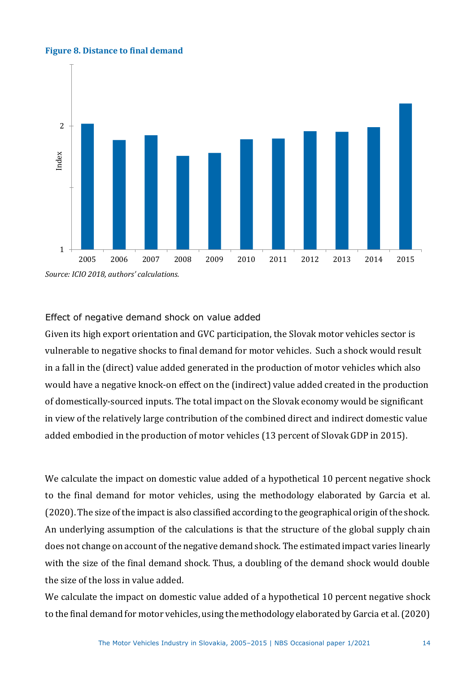#### **Figure 8. Distance to final demand**



#### Effect of negative demand shock on value added

Given its high export orientation and GVC participation, the Slovak motor vehicles sector is vulnerable to negative shocks to final demand for motor vehicles. Such a shock would result in a fall in the (direct) value added generated in the production of motor vehicles which also would have a negative knock-on effect on the (indirect) value added created in the production of domestically-sourced inputs. The total impact on the Slovak economy would be significant in view of the relatively large contribution of the combined direct and indirect domestic value added embodied in the production of motor vehicles (13 percent of Slovak GDP in 2015).

We calculate the impact on domestic value added of a hypothetical 10 percent negative shock to the final demand for motor vehicles, using the methodology elaborated by Garcia et al. (2020). The size of the impact is also classified according to the geographical origin of the shock. An underlying assumption of the calculations is that the structure of the global supply chain does not change on account of the negative demand shock. The estimated impact varies linearly with the size of the final demand shock. Thus, a doubling of the demand shock would double the size of the loss in value added.

We calculate the impact on domestic value added of a hypothetical 10 percent negative shock to the final demand for motor vehicles, using the methodology elaborated by Garcia et al. (2020)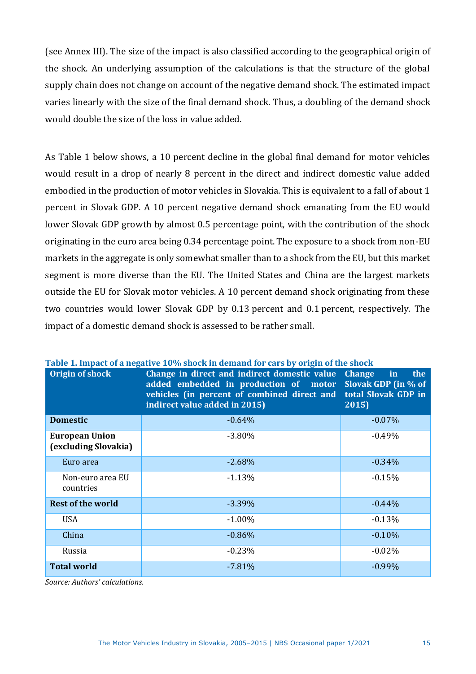(see Annex III). The size of the impact is also classified according to the geographical origin of the shock. An underlying assumption of the calculations is that the structure of the global supply chain does not change on account of the negative demand shock. The estimated impact varies linearly with the size of the final demand shock. Thus, a doubling of the demand shock would double the size of the loss in value added.

As [Table 1](#page-14-0) below shows, a 10 percent decline in the global final demand for motor vehicles would result in a drop of nearly 8 percent in the direct and indirect domestic value added embodied in the production of motor vehicles in Slovakia. This is equivalent to a fall of about 1 percent in Slovak GDP. A 10 percent negative demand shock emanating from the EU would lower Slovak GDP growth by almost 0.5 percentage point, with the contribution of the shock originating in the euro area being 0.34 percentage point. The exposure to a shock from non-EU markets in the aggregate is only somewhat smaller than to a shock from the EU, but this market segment is more diverse than the EU. The United States and China are the largest markets outside the EU for Slovak motor vehicles. A 10 percent demand shock originating from these two countries would lower Slovak GDP by 0.13 percent and 0.1 percent, respectively. The impact of a domestic demand shock is assessed to be rather small.

| Origin of shock                               | Change in direct and indirect domestic value<br>added embedded in production of motor<br>vehicles (in percent of combined direct and<br>indirect value added in 2015) | <b>Change</b><br>the<br>in<br>Slovak GDP (in % of<br>total Slovak GDP in<br>2015) |
|-----------------------------------------------|-----------------------------------------------------------------------------------------------------------------------------------------------------------------------|-----------------------------------------------------------------------------------|
| <b>Domestic</b>                               | $-0.64%$                                                                                                                                                              | $-0.07\%$                                                                         |
| <b>European Union</b><br>(excluding Slovakia) | $-3.80%$                                                                                                                                                              | $-0.49%$                                                                          |
| Euro area                                     | $-2.68\%$                                                                                                                                                             | $-0.34\%$                                                                         |
| Non-euro area EU<br>countries                 | $-1.13%$                                                                                                                                                              | $-0.15%$                                                                          |
| <b>Rest of the world</b>                      | $-3.39\%$                                                                                                                                                             | $-0.44\%$                                                                         |
| <b>USA</b>                                    | $-1.00\%$                                                                                                                                                             | $-0.13%$                                                                          |
| China                                         | $-0.86%$                                                                                                                                                              | $-0.10%$                                                                          |
| Russia                                        | $-0.23%$                                                                                                                                                              | $-0.02%$                                                                          |
| <b>Total world</b>                            | $-7.81%$                                                                                                                                                              | $-0.99%$                                                                          |

<span id="page-14-0"></span>

|  | Table 1. Impact of a negative 10% shock in demand for cars by origin of the shock |  |
|--|-----------------------------------------------------------------------------------|--|
|  |                                                                                   |  |

*Source: Authors' calculations.*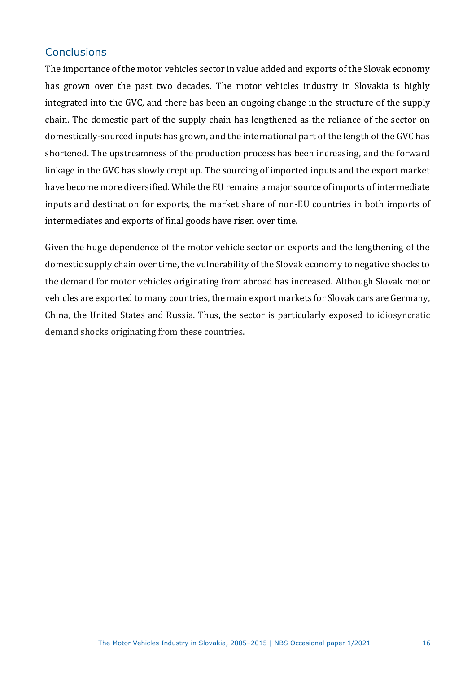## **Conclusions**

The importance of the motor vehicles sector in value added and exports of the Slovak economy has grown over the past two decades. The motor vehicles industry in Slovakia is highly integrated into the GVC, and there has been an ongoing change in the structure of the supply chain. The domestic part of the supply chain has lengthened as the reliance of the sector on domestically-sourced inputs has grown, and the international part of the length of the GVC has shortened. The upstreamness of the production process has been increasing, and the forward linkage in the GVC has slowly crept up. The sourcing of imported inputs and the export market have become more diversified. While the EU remains a major source of imports of intermediate inputs and destination for exports, the market share of non-EU countries in both imports of intermediates and exports of final goods have risen over time.

Given the huge dependence of the motor vehicle sector on exports and the lengthening of the domestic supply chain over time, the vulnerability of the Slovak economy to negative shocks to the demand for motor vehicles originating from abroad has increased. Although Slovak motor vehicles are exported to many countries, the main export markets for Slovak cars are Germany, China, the United States and Russia. Thus, the sector is particularly exposed to idiosyncratic demand shocks originating from these countries.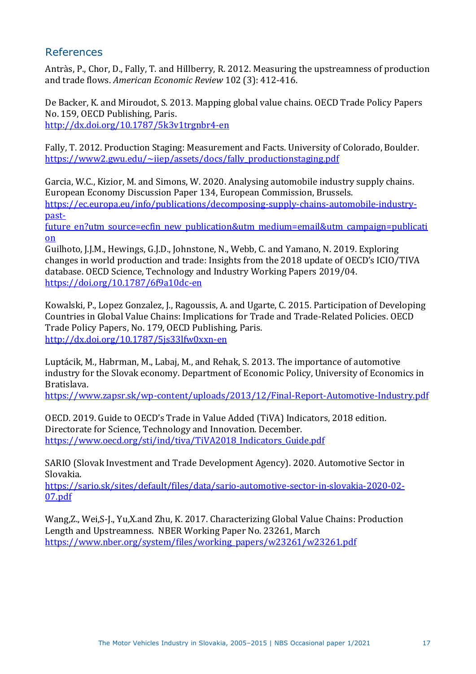## References

Antràs, P., Chor, D., Fally, T. and Hillberry, R. 2012. Measuring the upstreamness of production and trade flows. *American Economic Review* 102 (3): 412-416.

De Backer, K. and Miroudot, S. 2013. Mapping global value chains. OECD Trade Policy Papers No. 159, OECD Publishing, Paris. [http://dx.doi.org/10.1787/5k3v1trgnbr4-en](about:blank)

Fally, T. 2012. Production Staging: Measurement and Facts. University of Colorado, Boulder. [https://www2.gwu.edu/~iiep/assets/docs/fally\\_productionstaging.pdf](about:blank)

Garcia, W.C., Kizior, M. and Simons, W. 2020. Analysing automobile industry supply chains. European Economy Discussion Paper 134, European Commission, Brussels. [https://ec.europa.eu/info/publications/decomposing-supply-chains-automobile-industry](about:blank)[past-](about:blank)

future en?utm\_source=ecfin\_new\_publication&utm\_medium=email&utm\_campaign=publicati [on](about:blank)

Guilhoto, J.J.M., Hewings, G.J.D., Johnstone, N., Webb, C. and Yamano, N. 2019. Exploring changes in world production and trade: Insights from the 2018 update of OECD's ICIO/TIVA database. OECD Science, Technology and Industry Working Papers 2019/04. <https://doi.org/10.1787/6f9a10dc-en>

Kowalski, P., Lopez Gonzalez, J., Ragoussis, A. and Ugarte, C. 2015. Participation of Developing Countries in Global Value Chains: Implications for Trade and Trade-Related Policies. OECD Trade Policy Papers, No. 179, OECD Publishing, Paris. [http://dx.doi.org/10.1787/5js33lfw0xxn-en](about:blank)

Luptácik, M., Habrman, M., Labaj, M., and Rehak, S. 2013. The importance of automotive industry for the Slovak economy. Department of Economic Policy, University of Economics in Bratislava.

[https://www.zapsr.sk/wp-content/uploads/2013/12/Final-Report-Automotive-Industry.pdf](about:blank)

OECD. 2019. Guide to OECD's Trade in Value Added (TiVA) Indicators, 2018 edition. Directorate for Science, Technology and Innovation. December. https://www.oecd.org/sti/ind/tiva/TiVA2018 Indicators Guide.pdf

SARIO (Slovak Investment and Trade Development Agency). 2020. Automotive Sector in Slovakia.

[https://sario.sk/sites/default/files/data/sario-automotive-sector-in-slovakia-2020-02-](about:blank) [07.pdf](about:blank)

Wang,Z., Wei,S-J., Yu,X.and Zhu, K. 2017. Characterizing Global Value Chains: Production Length and Upstreamness. NBER Working Paper No. 23261, March [https://www.nber.org/system/files/working\\_papers/w23261/w23261.pdf](https://www.nber.org/system/files/working_papers/w23261/w23261.pdf)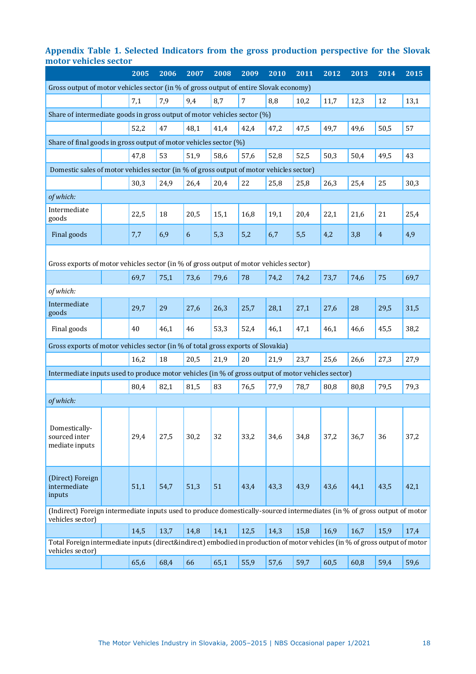#### **Appendix Table 1. Selected Indicators from the gross production perspective for the Slovak motor vehicles sector**

|                                                                                                                                                 |  | 2005 | 2006 | 2007 | 2008 | 2009           | 2010 | 2011 | 2012 | $20\overline{13}$ | 2014           | 2015 |
|-------------------------------------------------------------------------------------------------------------------------------------------------|--|------|------|------|------|----------------|------|------|------|-------------------|----------------|------|
| Gross output of motor vehicles sector (in % of gross output of entire Slovak economy)                                                           |  |      |      |      |      |                |      |      |      |                   |                |      |
|                                                                                                                                                 |  | 7,1  | 7,9  | 9,4  | 8,7  | $\overline{7}$ | 8,8  | 10,2 | 11,7 | 12,3              | 12             | 13,1 |
| Share of intermediate goods in gross output of motor vehicles sector (%)                                                                        |  |      |      |      |      |                |      |      |      |                   |                |      |
|                                                                                                                                                 |  | 52,2 | 47   | 48,1 | 41,4 | 42,4           | 47,2 | 47,5 | 49,7 | 49,6              | 50,5           | 57   |
| Share of final goods in gross output of motor vehicles sector (%)                                                                               |  |      |      |      |      |                |      |      |      |                   |                |      |
|                                                                                                                                                 |  | 47,8 | 53   | 51,9 | 58,6 | 57,6           | 52,8 | 52,5 | 50,3 | 50,4              | 49,5           | 43   |
| Domestic sales of motor vehicles sector (in % of gross output of motor vehicles sector)                                                         |  |      |      |      |      |                |      |      |      |                   |                |      |
|                                                                                                                                                 |  | 30,3 | 24,9 | 26,4 | 20,4 | 22             | 25,8 | 25,8 | 26,3 | 25,4              | 25             | 30,3 |
| of which:                                                                                                                                       |  |      |      |      |      |                |      |      |      |                   |                |      |
| Intermediate<br>goods                                                                                                                           |  | 22,5 | 18   | 20,5 | 15,1 | 16,8           | 19,1 | 20,4 | 22,1 | 21,6              | 21             | 25,4 |
| Final goods                                                                                                                                     |  | 7,7  | 6,9  | 6    | 5,3  | 5,2            | 6,7  | 5,5  | 4,2  | 3,8               | $\overline{4}$ | 4,9  |
| Gross exports of motor vehicles sector (in % of gross output of motor vehicles sector)                                                          |  |      |      |      |      |                |      |      |      |                   |                |      |
|                                                                                                                                                 |  | 69,7 | 75,1 | 73,6 | 79,6 | 78             | 74,2 | 74,2 | 73,7 | 74,6              | 75             | 69,7 |
| of which:                                                                                                                                       |  |      |      |      |      |                |      |      |      |                   |                |      |
| Intermediate<br>goods                                                                                                                           |  | 29,7 | 29   | 27,6 | 26,3 | 25,7           | 28,1 | 27,1 | 27,6 | 28                | 29,5           | 31,5 |
| Final goods                                                                                                                                     |  | 40   | 46,1 | 46   | 53,3 | 52,4           | 46,1 | 47,1 | 46,1 | 46,6              | 45,5           | 38,2 |
| Gross exports of motor vehicles sector (in % of total gross exports of Slovakia)                                                                |  |      |      |      |      |                |      |      |      |                   |                |      |
|                                                                                                                                                 |  | 16,2 | 18   | 20,5 | 21,9 | 20             | 21,9 | 23,7 | 25,6 | 26,6              | 27,3           | 27,9 |
| Intermediate inputs used to produce motor vehicles (in % of gross output of motor vehicles sector)                                              |  |      |      |      |      |                |      |      |      |                   |                |      |
|                                                                                                                                                 |  | 80,4 | 82,1 | 81,5 | 83   | 76,5           | 77,9 | 78,7 | 80,8 | 80,8              | 79,5           | 79,3 |
| of which:                                                                                                                                       |  |      |      |      |      |                |      |      |      |                   |                |      |
| Domestically-<br>sourced inter<br>mediate inputs                                                                                                |  | 29,4 | 27,5 | 30,2 | 32   | 33,2           | 34,6 | 34,8 | 37,2 | 36,7              | 36             | 37,2 |
| (Direct) Foreign<br>intermediate<br>inputs                                                                                                      |  | 51,1 | 54,7 | 51,3 | 51   | 43,4           | 43,3 | 43,9 | 43,6 | 44,1              | 43,5           | 42,1 |
| (Indirect) Foreign intermediate inputs used to produce domestically-sourced intermediates (in % of gross output of motor<br>vehicles sector)    |  |      |      |      |      |                |      |      |      |                   |                |      |
|                                                                                                                                                 |  | 14,5 | 13,7 | 14,8 | 14,1 | 12,5           | 14,3 | 15,8 | 16,9 | 16,7              | 15,9           | 17,4 |
| Total Foreign intermediate inputs (direct&indirect) embodied in production of motor vehicles (in % of gross output of motor<br>vehicles sector) |  |      |      |      |      |                |      |      |      |                   |                |      |
|                                                                                                                                                 |  | 65,6 | 68,4 | 66   | 65,1 | 55,9           | 57,6 | 59,7 | 60,5 | 60,8              | 59,4           | 59,6 |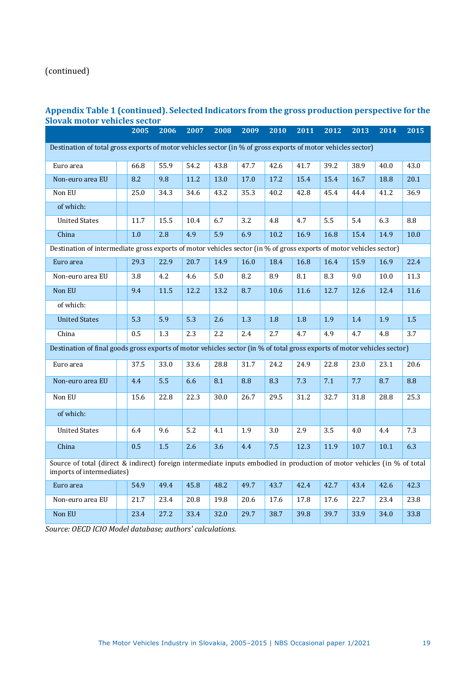## (continued)

#### **Appendix Table 1 (continued). Selected Indicators from the gross production perspective for the Slovak motor vehicles sector**

|                                                                                                                                                      |  | 2005 | 2006 | 2007             | 2008 | 2009 | 2010             | 2011 | 2012             | 2013 | 2014 | 2015      |
|------------------------------------------------------------------------------------------------------------------------------------------------------|--|------|------|------------------|------|------|------------------|------|------------------|------|------|-----------|
| Destination of total gross exports of motor vehicles sector (in % of gross exports of motor vehicles sector)                                         |  |      |      |                  |      |      |                  |      |                  |      |      |           |
| Euro area                                                                                                                                            |  | 66.8 | 55.9 | 54.2             | 43.8 | 47.7 | 42.6             | 41.7 | 39.2             | 38.9 | 40.0 | 43.0      |
| Non-euro area EU                                                                                                                                     |  | 8.2  | 9.8  | 11.2             | 13.0 | 17.0 | 17.2             | 15.4 | 15.4             | 16.7 | 18.8 | 20.1      |
| Non EU                                                                                                                                               |  | 25.0 | 34.3 | 34.6             | 43.2 | 35.3 | 40.2             | 42.8 | 45.4             | 44.4 | 41.2 | 36.9      |
| of which:                                                                                                                                            |  |      |      |                  |      |      |                  |      |                  |      |      |           |
| <b>United States</b>                                                                                                                                 |  | 11.7 | 15.5 | 10.4             | 6.7  | 3.2  | 4.8              | 4.7  | 5.5              | 5.4  | 6.3  | $\bf 8.8$ |
| China                                                                                                                                                |  | 1.0  | 2.8  | 4.9              | 5.9  | 6.9  | 10.2             | 16.9 | 16.8             | 15.4 | 14.9 | 10.0      |
| Destination of intermediate gross exports of motor vehicles sector (in % of gross exports of motor vehicles sector)                                  |  |      |      |                  |      |      |                  |      |                  |      |      |           |
| Euro area                                                                                                                                            |  | 29.3 | 22.9 | 20.7             | 14.9 | 16.0 | 18.4             | 16.8 | 16.4             | 15.9 | 16.9 | 22.4      |
| Non-euro area EU                                                                                                                                     |  | 3.8  | 4.2  | 4.6              | 5.0  | 8.2  | 8.9              | 8.1  | 8.3              | 9.0  | 10.0 | 11.3      |
| Non EU                                                                                                                                               |  | 9.4  | 11.5 | 12.2             | 13.2 | 8.7  | 10.6             | 11.6 | 12.7             | 12.6 | 12.4 | 11.6      |
| of which:                                                                                                                                            |  |      |      |                  |      |      |                  |      |                  |      |      |           |
| <b>United States</b>                                                                                                                                 |  | 5.3  | 5.9  | 5.3              | 2.6  | 1.3  | 1.8              | 1.8  | 1.9              | 1.4  | 1.9  | 1.5       |
| China                                                                                                                                                |  | 0.5  | 1.3  | 2.3              | 2.2  | 2.4  | 2.7              | 4.7  | 4.9              | 4.7  | 4.8  | 3.7       |
| Destination of final goods gross exports of motor vehicles sector (in % of total gross exports of motor vehicles sector)                             |  |      |      |                  |      |      |                  |      |                  |      |      |           |
| Euro area                                                                                                                                            |  | 37.5 | 33.0 | 33.6             | 28.8 | 31.7 | 24.2             | 24.9 | 22.8             | 23.0 | 23.1 | 20.6      |
| Non-euro area EU                                                                                                                                     |  | 4.4  | 5.5  | 6.6              | 8.1  | 8.8  | 8.3              | 7.3  | 7.1              | 7.7  | 8.7  | 8.8       |
| Non EU                                                                                                                                               |  | 15.6 | 22.8 | 22.3             | 30.0 | 26.7 | 29.5             | 31.2 | 32.7             | 31.8 | 28.8 | 25.3      |
| of which:                                                                                                                                            |  |      |      |                  |      |      |                  |      |                  |      |      |           |
| <b>United States</b>                                                                                                                                 |  | 6.4  | 9.6  | $\overline{5.2}$ | 4.1  | 1.9  | $\overline{3.0}$ | 2.9  | $\overline{3.5}$ | 4.0  | 4.4  | 7.3       |
| China                                                                                                                                                |  | 0.5  | 1.5  | 2.6              | 3.6  | 4.4  | 7.5              | 12.3 | 11.9             | 10.7 | 10.1 | 6.3       |
| Source of total (direct & indirect) foreign intermediate inputs embodied in production of motor vehicles (in % of total<br>imports of intermediates) |  |      |      |                  |      |      |                  |      |                  |      |      |           |
| Euro area                                                                                                                                            |  | 54.9 | 49.4 | 45.8             | 48.2 | 49.7 | 43.7             | 42.4 | 42.7             | 43.4 | 42.6 | 42.3      |
| Non-euro area EU                                                                                                                                     |  | 21.7 | 23.4 | 20.8             | 19.8 | 20.6 | 17.6             | 17.8 | 17.6             | 22.7 | 23.4 | 23.8      |
| Non EU                                                                                                                                               |  | 23.4 | 27.2 | 33.4             | 32.0 | 29.7 | 38.7             | 39.8 | 39.7             | 33.9 | 34.0 | 33.8      |

*Source: OECD ICIO Model database; authors' calculations.*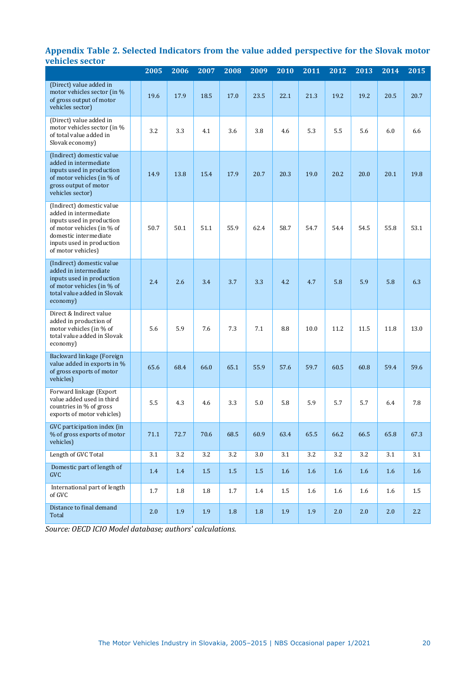#### **Appendix Table 2. Selected Indicators from the value added perspective for the Slovak motor vehicles sector**

| emens sector                                                                                                                                                                              | 2005 | 2006 | 2007 | 2008    | 2009    | 2010    | 2011 | 2012 | 2013 | 2014 | $20\overline{15}$ |
|-------------------------------------------------------------------------------------------------------------------------------------------------------------------------------------------|------|------|------|---------|---------|---------|------|------|------|------|-------------------|
| (Direct) value added in<br>motor vehicles sector (in %<br>of gross output of motor<br>vehicles sector)                                                                                    | 19.6 | 17.9 | 18.5 | 17.0    | 23.5    | 22.1    | 21.3 | 19.2 | 19.2 | 20.5 | 20.7              |
| (Direct) value added in<br>motor vehicles sector (in %<br>of total value added in<br>Slovak economy)                                                                                      | 3.2  | 3.3  | 4.1  | 3.6     | 3.8     | 4.6     | 5.3  | 5.5  | 5.6  | 6.0  | 6.6               |
| (Indirect) domestic value<br>added in intermediate<br>inputs used in production<br>of motor vehicles (in % of<br>gross output of motor<br>vehicles sector)                                | 14.9 | 13.8 | 15.4 | 17.9    | 20.7    | 20.3    | 19.0 | 20.2 | 20.0 | 20.1 | 19.8              |
| (Indirect) domestic value<br>added in intermediate<br>inputs used in production<br>of motor vehicles (in % of<br>domestic intermediate<br>inputs used in production<br>of motor vehicles) | 50.7 | 50.1 | 51.1 | 55.9    | 62.4    | 58.7    | 54.7 | 54.4 | 54.5 | 55.8 | 53.1              |
| (Indirect) domestic value<br>added in intermediate<br>inputs used in production<br>of motor vehicles (in % of<br>total value added in Slovak<br>economy)                                  | 2.4  | 2.6  | 3.4  | 3.7     | 3.3     | 4.2     | 4.7  | 5.8  | 5.9  | 5.8  | 6.3               |
| Direct & Indirect value<br>added in production of<br>motor vehicles (in % of<br>total value added in Slovak<br>economy)                                                                   | 5.6  | 5.9  | 7.6  | 7.3     | 7.1     | 8.8     | 10.0 | 11.2 | 11.5 | 11.8 | 13.0              |
| Backward linkage (Foreign<br>value added in exports in %<br>of gross exports of motor<br>vehicles)                                                                                        | 65.6 | 68.4 | 66.0 | 65.1    | 55.9    | 57.6    | 59.7 | 60.5 | 60.8 | 59.4 | 59.6              |
| Forward linkage (Export<br>value added used in third<br>countries in % of gross<br>exports of motor vehicles)                                                                             | 5.5  | 4.3  | 4.6  | 3.3     | 5.0     | 5.8     | 5.9  | 5.7  | 5.7  | 6.4  | 7.8               |
| GVC participation index (in<br>% of gross exports of motor<br>vehicles)                                                                                                                   | 71.1 | 72.7 | 70.6 | 68.5    | 60.9    | 63.4    | 65.5 | 66.2 | 66.5 | 65.8 | 67.3              |
| Length of GVC Total                                                                                                                                                                       | 3.1  | 3.2  | 3.2  | 3.2     | 3.0     | 3.1     | 3.2  | 3.2  | 3.2  | 3.1  | 3.1               |
| Domestic part of length of<br><b>GVC</b>                                                                                                                                                  | 1.4  | 1.4  | 1.5  | $1.5\,$ | $1.5\,$ | $1.6\,$ | 1.6  | 1.6  | 1.6  | 1.6  | $1.6\phantom{0}$  |
| International part of length<br>of GVC                                                                                                                                                    | 1.7  | 1.8  | 1.8  | 1.7     | 1.4     | $1.5\,$ | 1.6  | 1.6  | 1.6  | 1.6  | $1.5\,$           |
| Distance to final demand<br>Total                                                                                                                                                         | 2.0  | 1.9  | 1.9  | $1.8\,$ | $1.8\,$ | 1.9     | 1.9  | 2.0  | 2.0  | 2.0  | 2.2               |

*Source: OECD ICIO Model database; authors' calculations.*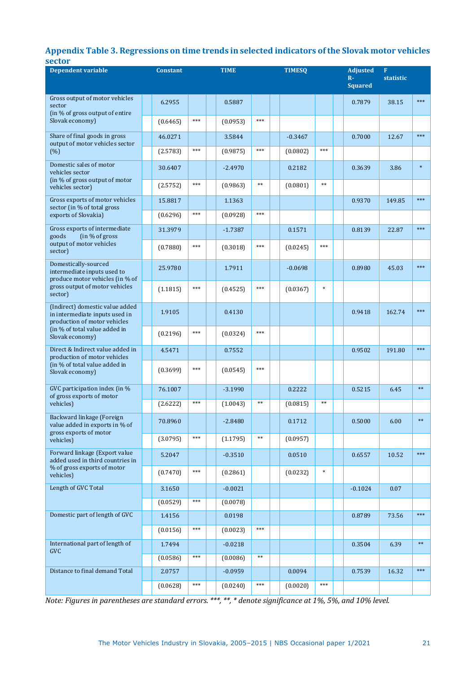#### **Appendix Table 3. Regressions on time trends in selected indicators of the Slovak motor vehicles sector**

| <b>Dependent variable</b>                                                                         |  | <b>Constant</b> |       | <b>TIME</b> |            | <b>TIMESQ</b> |            | <b>Adjusted</b><br>$R -$<br><b>Squared</b> | $\mathbf{F}$<br>statistic |        |
|---------------------------------------------------------------------------------------------------|--|-----------------|-------|-------------|------------|---------------|------------|--------------------------------------------|---------------------------|--------|
| Gross output of motor vehicles<br>sector                                                          |  | 6.2955          |       | 0.5887      |            |               |            | 0.7879                                     | 38.15                     | $***$  |
| (in % of gross output of entire<br>Slovak economy)                                                |  | (0.6465)        | $***$ | (0.0953)    | $***$      |               |            |                                            |                           |        |
| Share of final goods in gross<br>output of motor vehicles sector<br>(% )                          |  | 46.0271         |       | 3.5844      |            | $-0.3467$     |            | 0.7000                                     | 12.67                     | $***$  |
|                                                                                                   |  | (2.5783)        | $***$ | (0.9875)    | $***$      | (0.0802)      | $***$      |                                            |                           |        |
| Domestic sales of motor<br>vehicles sector<br>(in % of gross output of motor<br>vehicles sector)  |  | 30.6407         |       | $-2.4970$   |            | 0.2182        |            | 0.3639                                     | 3.86                      | $\ast$ |
|                                                                                                   |  | (2.5752)        | $***$ | (0.9863)    | $**$       | (0.0801)      | $\ast\ast$ |                                            |                           |        |
| Gross exports of motor vehicles<br>sector (in % of total gross                                    |  | 15.8817         |       | 1.1363      |            |               |            | 0.9370                                     | 149.85                    | $***$  |
| exports of Slovakia)                                                                              |  | (0.6296)        | $***$ | (0.0928)    | $***$      |               |            |                                            |                           |        |
| Gross exports of intermediate<br>(in % of gross)<br>goods                                         |  | 31.3979         |       | $-1.7387$   |            | 0.1571        |            | 0.8139                                     | 22.87                     | $***$  |
| output of motor vehicles<br>sector)                                                               |  | (0.7880)        | $***$ | (0.3018)    | $***$      | (0.0245)      | ***        |                                            |                           |        |
| Domestically-sourced<br>intermediate inputs used to<br>produce motor vehicles (in % of            |  | 25.9780         |       | 1.7911      |            | $-0.0698$     |            | 0.8980                                     | 45.03                     | $***$  |
| gross output of motor vehicles<br>sector)                                                         |  | (1.1815)        | $***$ | (0.4525)    | $***$      | (0.0367)      | $\ast$     |                                            |                           |        |
| (Indirect) domestic value added<br>in intermediate inputs used in<br>production of motor vehicles |  | 1.9105          |       | 0.4130      |            |               |            | 0.9418                                     | 162.74                    | $***$  |
| (in % of total value added in<br>Slovak economy)                                                  |  | (0.2196)        | $***$ | (0.0324)    | $***$      |               |            |                                            |                           |        |
| Direct & Indirect value added in<br>production of motor vehicles                                  |  | 4.5471          |       | 0.7552      |            |               |            | 0.9502                                     | 191.80                    | $***$  |
| (in % of total value added in<br>Slovak economy)                                                  |  | (0.3699)        | $***$ | (0.0545)    | $***$      |               |            |                                            |                           |        |
| GVC participation index (in %<br>of gross exports of motor                                        |  | 76.1007         |       | $-3.1990$   |            | 0.2222        |            | 0.5215                                     | 6.45                      | $**$   |
| vehicles)                                                                                         |  | (2.6222)        | $***$ | (1.0043)    | $\ast\ast$ | (0.0815)      | $\ast\ast$ |                                            |                           |        |
| Backward linkage (Foreign<br>value added in exports in % of<br>gross exports of motor             |  | 70.8960         |       | $-2.8480$   |            | 0.1712        |            | 0.5000                                     | 6.00                      | $**$   |
| vehicles)                                                                                         |  | (3.0795)        | $***$ | (1.1795)    | $***$      | (0.0957)      |            |                                            |                           |        |
| Forward linkage (Export value<br>added used in third countries in                                 |  | 5.2047          |       | $-0.3510$   |            | 0.0510        |            | 0.6557                                     | 10.52                     | $***$  |
| % of gross exports of motor<br>vehicles)                                                          |  | (0.7470)        | $***$ | (0.2861)    |            | (0.0232)      | $\ast$     |                                            |                           |        |
| Length of GVC Total                                                                               |  | 3.1650          |       | $-0.0021$   |            |               |            | $-0.1024$                                  | 0.07                      |        |
|                                                                                                   |  | (0.0529)        | $***$ | (0.0078)    |            |               |            |                                            |                           |        |
| Domestic part of length of GVC                                                                    |  | 1.4156          |       | 0.0198      |            |               |            | 0.8789                                     | 73.56                     | $***$  |
|                                                                                                   |  | (0.0156)        | $***$ | (0.0023)    | $***$      |               |            |                                            |                           |        |
| International part of length of<br><b>GVC</b>                                                     |  | 1.7494          |       | $-0.0218$   |            |               |            | 0.3504                                     | 6.39                      | $**$   |
|                                                                                                   |  | (0.0586)        | $***$ | (0.0086)    | $**$       |               |            |                                            |                           | $***$  |
| Distance to final demand Total                                                                    |  | 2.0757          |       | $-0.0959$   |            | 0.0094        |            | 0.7539                                     | 16.32                     |        |
|                                                                                                   |  | (0.0628)        | $***$ | (0.0240)    | $***$      | (0.0020)      | $***$      |                                            |                           |        |

*Note: Figures in parentheses are standard errors. \*\*\*, \*\*, \* denote significance at 1%, 5%, and 10% level.*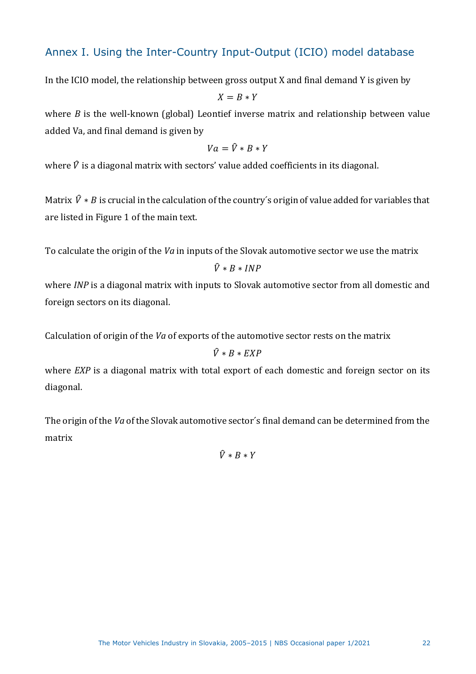## Annex I. Using the Inter-Country Input-Output (ICIO) model database

In the ICIO model, the relationship between gross output X and final demand Y is given by

 $X = B * Y$ 

where *B* is the well-known (global) Leontief inverse matrix and relationship between value added Va, and final demand is given by

$$
Va=\widehat{V}*B*Y
$$

where  $\hat{V}$  is a diagonal matrix with sectors' value added coefficients in its diagonal.

Matrix  $\hat{V} * B$  is crucial in the calculation of the country's origin of value added for variables that are listed in Figure 1 of the main text.

To calculate the origin of the *Va* in inputs of the Slovak automotive sector we use the matrix

$$
\hat{V} * B * INFO
$$

where *INP* is a diagonal matrix with inputs to Slovak automotive sector from all domestic and foreign sectors on its diagonal.

Calculation of origin of the *Va* of exports of the automotive sector rests on the matrix

#### $\hat{V} * B * EXP$

where *EXP* is a diagonal matrix with total export of each domestic and foreign sector on its diagonal.

The origin of the *Va* of the Slovak automotive sector´s final demand can be determined from the matrix

 $\hat{V} * B * Y$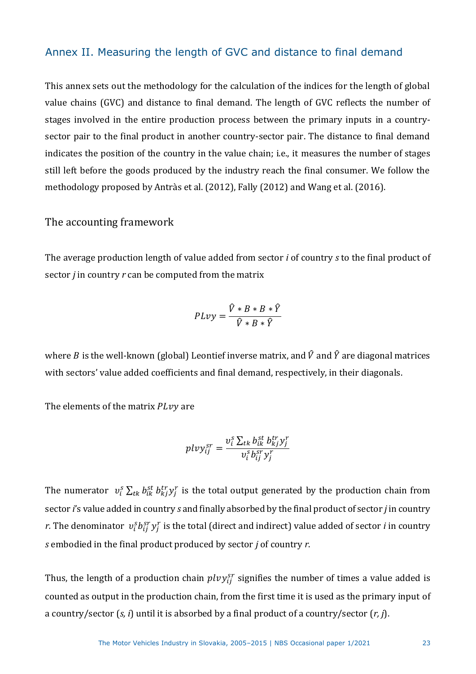## Annex II. Measuring the length of GVC and distance to final demand

This annex sets out the methodology for the calculation of the indices for the length of global value chains (GVC) and distance to final demand. The length of GVC reflects the number of stages involved in the entire production process between the primary inputs in a countrysector pair to the final product in another country-sector pair. The distance to final demand indicates the position of the country in the value chain; i.e., it measures the number of stages still left before the goods produced by the industry reach the final consumer. We follow the methodology proposed by Antràs et al. (2012), Fally (2012) and Wang et al. (2016).

The accounting framework

The average production length of value added from sector *i* of country *s* to the final product of sector *j* in country *r* can be computed from the matrix

$$
PLvy = \frac{\hat{V} * B * B * \hat{Y}}{\hat{V} * B * \hat{Y}}
$$

where *B* is the well-known (global) Leontief inverse matrix, and  $\hat{V}$  and  $\hat{Y}$  are diagonal matrices with sectors' value added coefficients and final demand, respectively, in their diagonals.

The elements of the matrix  $P L v y$  are

$$
p\ell v y_{ij}^{sr} = \frac{v_i^s \sum_{tk} b_{ik}^{st} b_{kj}^{tr} y_j^r}{v_i^s b_{ij}^{sr} y_j^r}
$$

The numerator  $v_i^s \sum_{tk} b_{ik}^{st} b_{kj}^{tr} y_j^r$  is the total output generated by the production chain from sector *i*'s value added in country *s* and finally absorbed by the final product of sector *j* in country *r.* The denominator  $v_i^s b_{ij}^{sr} y_j^r$  is the total (direct and indirect) value added of sector *i* in country *s* embodied in the final product produced by sector *j* of country *r*.

Thus, the length of a production chain  $\mathit{plvy^{sr}_{ij}}$  signifies the number of times a value added is counted as output in the production chain, from the first time it is used as the primary input of a country/sector (*s, i*) until it is absorbed by a final product of a country/sector (*r, j*).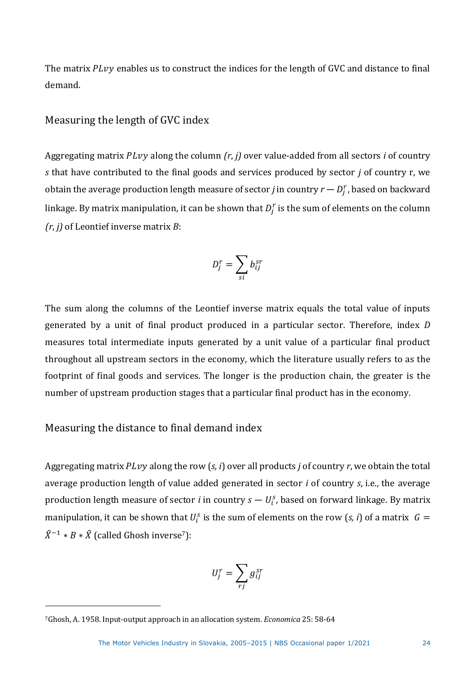The matrix  $P L v y$  enables us to construct the indices for the length of GVC and distance to final demand.

#### Measuring the length of GVC index

Aggregating matrix *PLvy* along the column *(r, j)* over value-added from all sectors *i* of country *s* that have contributed to the final goods and services produced by sector *j* of country r, we obtain the average production length measure of sector  $j$  in country  $r - D_j^r$ , based on backward linkage. By matrix manipulation, it can be shown that  $D_{j}^{r}$  is the sum of elements on the column *(r*, *j)* of Leontief inverse matrix *B*:

$$
D_j^r = \sum_{si} b_{ij}^{sr}
$$

The sum along the columns of the Leontief inverse matrix equals the total value of inputs generated by a unit of final product produced in a particular sector. Therefore, index *D* measures total intermediate inputs generated by a unit value of a particular final product throughout all upstream sectors in the economy, which the literature usually refers to as the footprint of final goods and services. The longer is the production chain, the greater is the number of upstream production stages that a particular final product has in the economy.

## Measuring the distance to final demand index

Aggregating matrix  $P L v y$  along the row  $(s, i)$  over all products *j* of country *r*, we obtain the total average production length of value added generated in sector *i* of country *s*, i.e., the average production length measure of sector *i* in country  $s-U_i^s$ , based on forward linkage. By matrix manipulation, it can be shown that  $U_i^s$  is the sum of elements on the row (*s*, *i*) of a matrix  $G =$  $\hat{X}^{-1} * B * \hat{X}$  (called Ghosh inverse<sup>7</sup>):

$$
U_j^r = \sum_{rj} g_{ij}^{sr}
$$

<sup>7</sup>Ghosh, A. 1958. Input-output approach in an allocation system. *Economica* 25: 58-64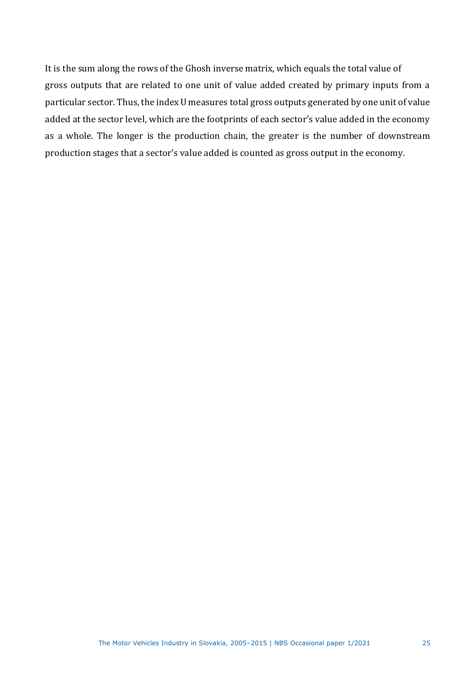It is the sum along the rows of the Ghosh inverse matrix, which equals the total value of gross outputs that are related to one unit of value added created by primary inputs from a particular sector. Thus, the index U measures total gross outputs generated by one unit of value added at the sector level, which are the footprints of each sector's value added in the economy as a whole. The longer is the production chain, the greater is the number of downstream production stages that a sector's value added is counted as gross output in the economy.